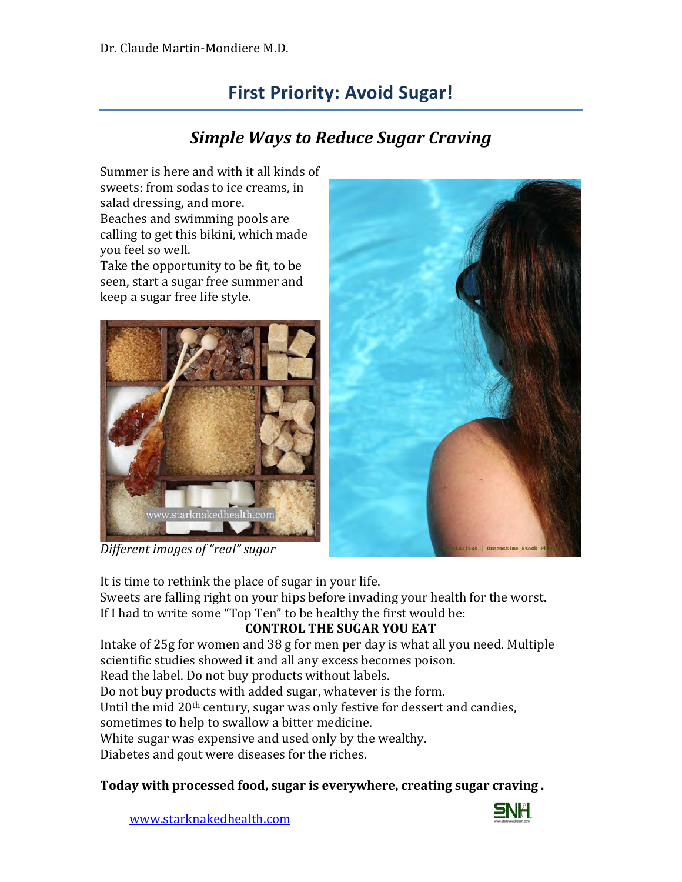# **First Priority: Avoid Sugar!**

## *Simple Ways to Reduce Sugar Craving*

Summer is here and with it all kinds of sweets: from sodas to ice creams, in salad dressing, and more. Beaches and swimming pools are calling to get this bikini, which made you feel so well. Take the opportunity to be fit, to be seen, start a sugar free summer and

keep a sugar free life style.







It is time to rethink the place of sugar in your life.

Sweets are falling right on your hips before invading your health for the worst. If I had to write some "Top Ten" to be healthy the first would be:

#### **CONTROL THE SUGAR YOU EAT**

Intake of 25g for women and 38 g for men per day is what all you need. Multiple scientific studies showed it and all any excess becomes poison.

Read the label. Do not buy products without labels.

Do not buy products with added sugar, whatever is the form.

Until the mid 20th century, sugar was only festive for dessert and candies,

sometimes to help to swallow a bitter medicine.

White sugar was expensive and used only by the wealthy.

Diabetes and gout were diseases for the riches.

**Today with processed food, sugar is everywhere, creating sugar craving .**



[www.starknakedhealth.com](http://www.starknakedhealth.com/)